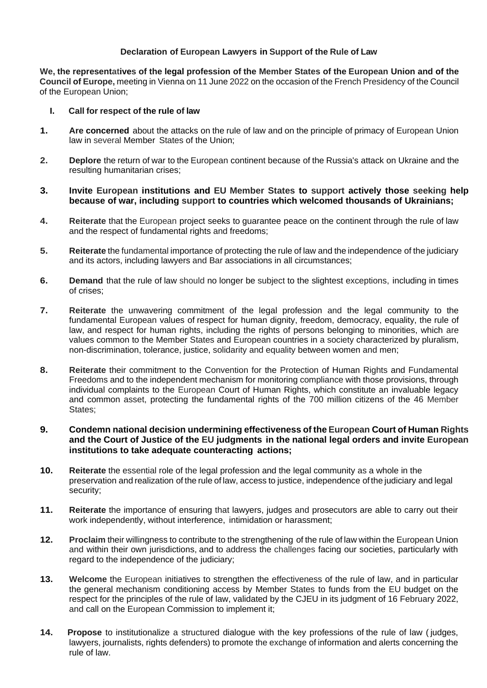# **Declaration of European Lawyers in Support of the Rule of Law**

**We, the representatives of the legal profession of the Member States of the European Union and of the Council of Europe,** meeting in Vienna on 11 June 2022 on the occasion of the French Presidency of the Council of the European Union;

#### **I. Call for respect of the rule of law**

- **1. Are concerned** about the attacks on the rule of law and on the principle of primacy of European Union law in several Member States of the Union;
- **2. Deplore** the return of war to the European continent because of the Russia's attack on Ukraine and the resulting humanitarian crises;
- **3. Invite European institutions and EU Member States to support actively those seeking help because of war, including support to countries which welcomed thousands of Ukrainians;**
- **4. Reiterate** that the European project seeks to guarantee peace on the continent through the rule of law and the respect of fundamental rights and freedoms;
- **5. Reiterate** the fundamental importance of protecting the rule of law and the independence of the judiciary and its actors, including lawyers and Bar associations in all circumstances;
- **6. Demand** that the rule of law should no longer be subject to the slightest exceptions, including in times of crises;
- **7. Reiterate** the unwavering commitment of the legal profession and the legal community to the fundamental European values of respect for human dignity, freedom, democracy, equality, the rule of law, and respect for human rights, including the rights of persons belonging to minorities, which are values common to the Member States and European countries in a society characterized by pluralism, non-discrimination, tolerance, justice, solidarity and equality between women and men;
- **8. Reiterate** their commitment to the Convention for the Protection of Human Rights and Fundamental Freedoms and to the independent mechanism for monitoring compliance with those provisions, through individual complaints to the European Court of Human Rights, which constitute an invaluable legacy and common asset, protecting the fundamental rights of the 700 million citizens of the 46 Member States;
- **9. Condemn national decision undermining effectiveness of the European Court of Human Rights and the Court of Justice of the EU judgments in the national legal orders and invite European institutions to take adequate counteracting actions;**
- **10. Reiterate** the essential role of the legal profession and the legal community as a whole in the preservation and realization of the rule of law, access to justice, independence of the judiciary and legal security;
- **11. Reiterate** the importance of ensuring that lawyers, judges and prosecutors are able to carry out their work independently, without interference, intimidation or harassment;
- **12. Proclaim** their willingness to contribute to the strengthening of the rule of law within the European Union and within their own jurisdictions, and to address the challenges facing our societies, particularly with regard to the independence of the judiciary;
- **13. Welcome** the European initiatives to strengthen the effectiveness of the rule of law, and in particular the general mechanism conditioning access by Member States to funds from the EU budget on the respect for the principles of the rule of law, validated by the CJEU in its judgment of 16 February 2022, and call on the European Commission to implement it;
- **14. Propose** to institutionalize a structured dialogue with the key professions of the rule of law ( judges, lawyers, journalists, rights defenders) to promote the exchange of information and alerts concerning the rule of law.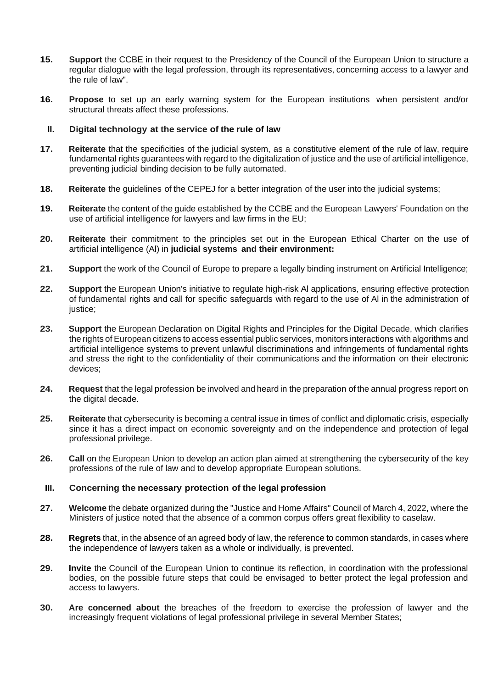- **15. Support** the CCBE in their request to the Presidency of the Council of the European Union to structure a regular dialogue with the legal profession, through its representatives, concerning access to a lawyer and the rule of law".
- **16. Propose** to set up an early warning system for the European institutions when persistent and/or structural threats affect these professions.

### **II. Digital technology at the service of the rule of law**

- **17. Reiterate** that the specificities of the judicial system, as a constitutive element of the rule of law, require fundamental rights guarantees with regard to the digitalization of justice and the use of artificial intelligence, preventing judicial binding decision to be fully automated.
- **18. Reiterate** the guidelines of the CEPEJ for a better integration of the user into the judicial systems;
- **19. Reiterate** the content of the guide established by the CCBE and the European Lawyers' Foundation on the use of artificial intelligence for lawyers and law firms in the EU;
- **20. Reiterate** their commitment to the principles set out in the European Ethical Charter on the use of artificial intelligence (Al) in **judicial systems and their environment:**
- **21. Support** the work of the Council of Europe to prepare a legally binding instrument on Artificial Intelligence;
- **22. Support** the European Union's initiative to regulate high-risk Al applications, ensuring effective protection of fundamental rights and call for specific safeguards with regard to the use of Al in the administration of justice;
- **23. Support** the European Declaration on Digital Rights and Principles for the Digital Decade, which clarifies the rights of European citizens to access essential public services, monitors interactions with algorithms and artificial intelligence systems to prevent unlawful discriminations and infringements of fundamental rights and stress the right to the confidentiality of their communications and the information on their electronic devices;
- **24. Request** that the legal profession be involved and heard in the preparation of the annual progress report on the digital decade.
- **25. Reiterate** that cybersecurity is becoming a central issue in times of conflict and diplomatic crisis, especially since it has a direct impact on economic sovereignty and on the independence and protection of legal professional privilege.
- **26. Call** on the European Union to develop an action plan aimed at strengthening the cybersecurity of the key professions of the rule of law and to develop appropriate European solutions.

#### **III. Concerning the necessary protection of the legal profession**

- **27. Welcome** the debate organized during the "Justice and Home Affairs" Council of March 4, 2022, where the Ministers of justice noted that the absence of a common corpus offers great flexibility to caselaw.
- **28. Regrets** that, in the absence of an agreed body of law, the reference to common standards, in cases where the independence of lawyers taken as a whole or individually, is prevented.
- **29. Invite** the Council of the European Union to continue its reflection, in coordination with the professional bodies, on the possible future steps that could be envisaged to better protect the legal profession and access to lawyers.
- **30. Are concerned about** the breaches of the freedom to exercise the profession of lawyer and the increasingly frequent violations of legal professional privilege in several Member States;